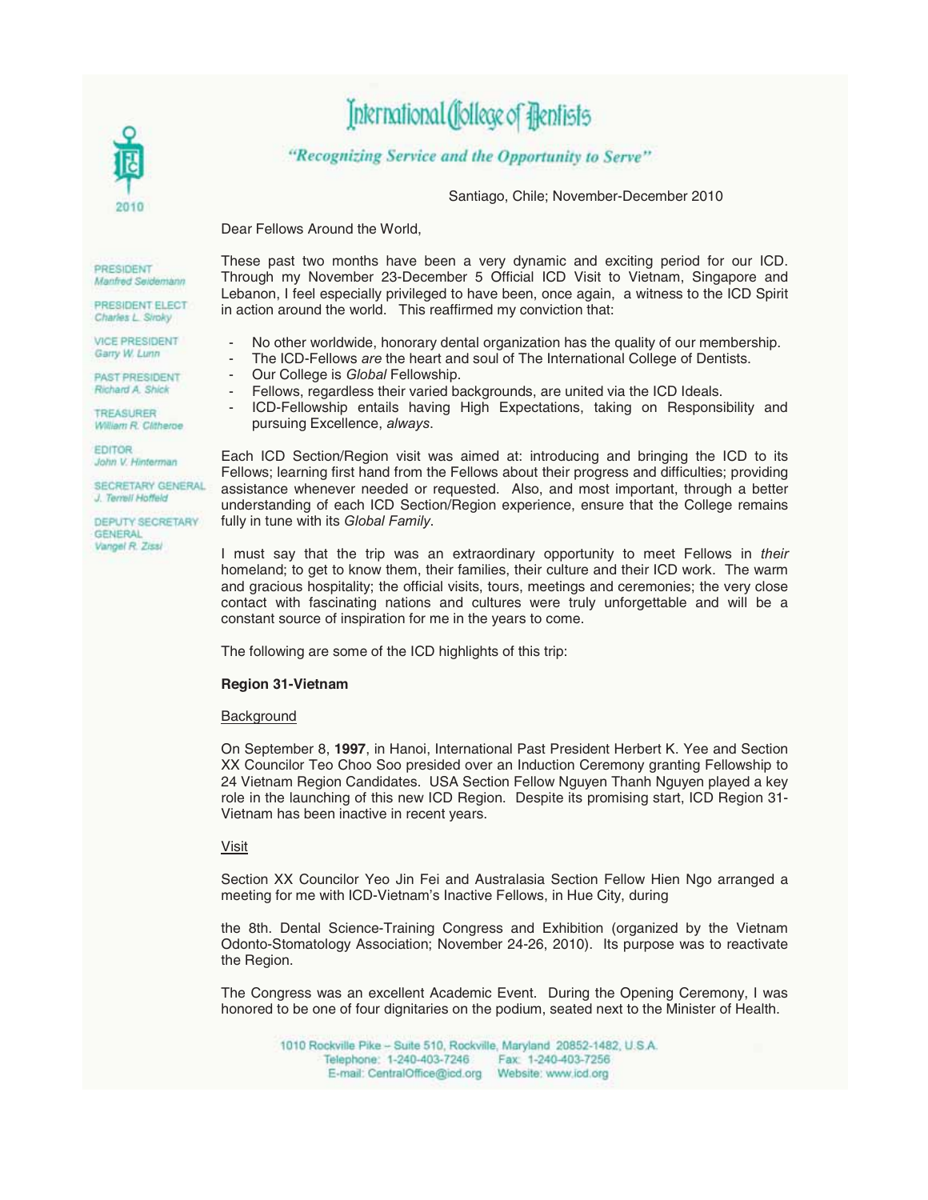

# International (follege of Flentists

"Recognizing Service and the Opportunity to Serve"

Santiago, Chile; November-December 2010

Dear Fellows Around the World,

PRESIDENT Manfred Seidemann

PRESIDENT ELECT Charles L. Siroky

VICE PRESIDENT Garry W. Lunn

PAST PRESIDENT Richard A Shick

TREASURER William R. Clitheroe

**FDITOR** John V. Hinterman

SECRETARY GENERAL J. Terrell Hoffeld

DEPUTY SECRETARY GENERAL Vangel R. Zissi

These past two months have been a very dynamic and exciting period for our ICD. Through my November 23-December 5 Official ICD Visit to Vietnam, Singapore and Lebanon, I feel especially privileged to have been, once again, a witness to the ICD Spirit in action around the world. This reaffirmed my conviction that:

- No other worldwide, honorary dental organization has the quality of our membership.
- The ICD-Fellows *are* the heart and soul of The International College of Dentists.
- Our College is *Global* Fellowship.
- Fellows, regardless their varied backgrounds, are united via the ICD Ideals.
- ICD-Fellowship entails having High Expectations, taking on Responsibility and pursuing Excellence, *always*.

Each ICD Section/Region visit was aimed at: introducing and bringing the ICD to its Fellows; learning first hand from the Fellows about their progress and difficulties; providing assistance whenever needed or requested. Also, and most important, through a better understanding of each ICD Section/Region experience, ensure that the College remains fully in tune with its *Global Family*.

I must say that the trip was an extraordinary opportunity to meet Fellows in *their*  homeland; to get to know them, their families, their culture and their ICD work. The warm and gracious hospitality; the official visits, tours, meetings and ceremonies; the very close contact with fascinating nations and cultures were truly unforgettable and will be a constant source of inspiration for me in the years to come.

The following are some of the ICD highlights of this trip:

#### **Region 31-Vietnam**

#### Background

On September 8, **1997**, in Hanoi, International Past President Herbert K. Yee and Section XX Councilor Teo Choo Soo presided over an Induction Ceremony granting Fellowship to 24 Vietnam Region Candidates. USA Section Fellow Nguyen Thanh Nguyen played a key role in the launching of this new ICD Region. Despite its promising start, ICD Region 31- Vietnam has been inactive in recent years.

#### Visit

Section XX Councilor Yeo Jin Fei and Australasia Section Fellow Hien Ngo arranged a meeting for me with ICD-Vietnam's Inactive Fellows, in Hue City, during

the 8th. Dental Science-Training Congress and Exhibition (organized by the Vietnam Odonto-Stomatology Association; November 24-26, 2010). Its purpose was to reactivate the Region.

The Congress was an excellent Academic Event. During the Opening Ceremony, I was honored to be one of four dignitaries on the podium, seated next to the Minister of Health.

> 1010 Rockville Pike - Suite 510, Rockville, Maryland 20852-1482, U.S.A. Telephone: 1-240-403-7246 Fax: 1-240-403-7256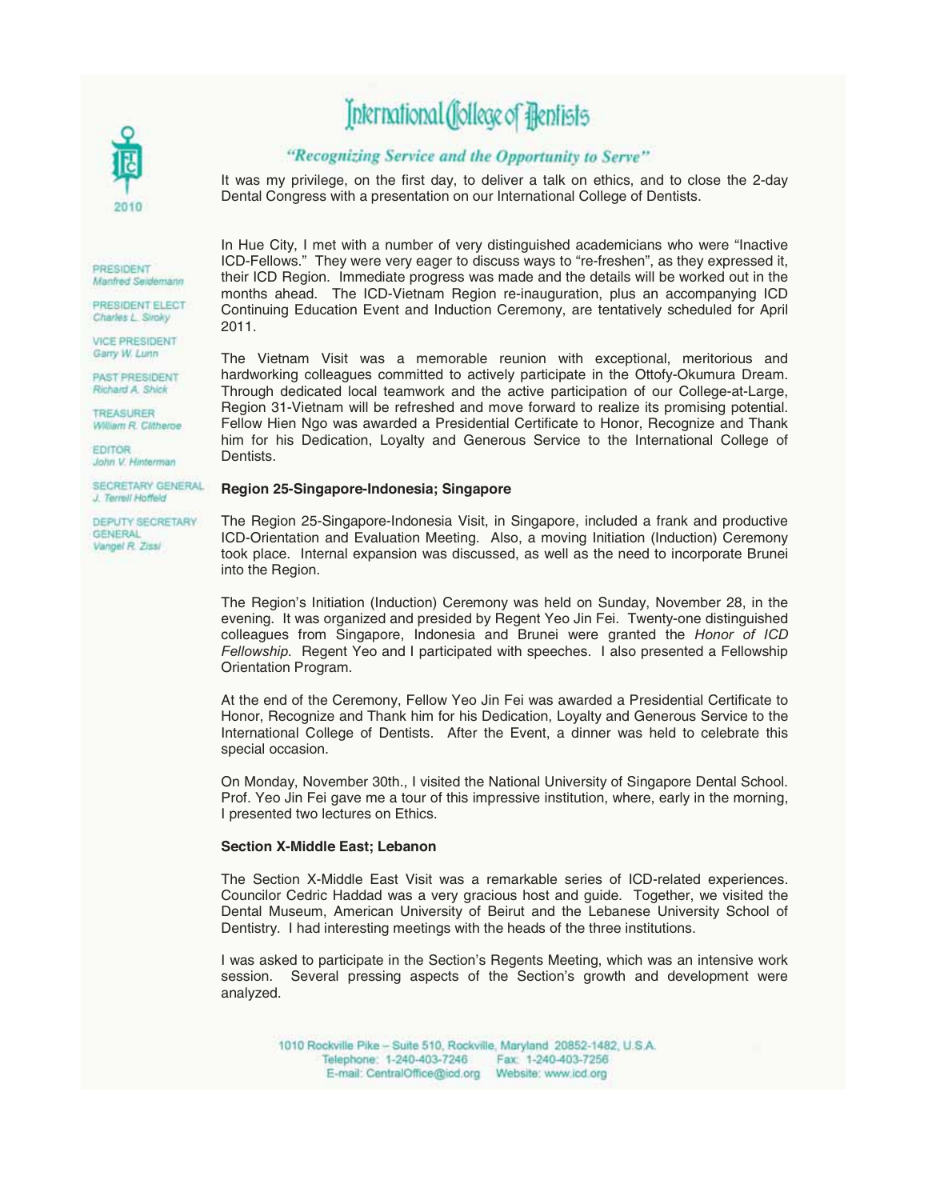# Jnternational (Jollege of Bentists

### "Recognizing Service and the Opportunity to Serve"

It was my privilege, on the first day, to deliver a talk on ethics, and to close the 2-day Dental Congress with a presentation on our International College of Dentists.

PRESIDENT Manfred Seidemann

PRESIDENT ELECT Charles L. Siroky

**VICE PRESIDENT** Garry W. Lunn

PAST PRESIDENT Richard A Shick

TREASURER William R. Clitheroe

**EDITOR** John V. Hinterman

SECRETARY GENERAL J. Terrell Hoffeld

DEPUTY SECRETARY GENERAL Vangel R. Zissi

In Hue City, I met with a number of very distinguished academicians who were "Inactive ICD-Fellows." They were very eager to discuss ways to "re-freshen", as they expressed it, their ICD Region. Immediate progress was made and the details will be worked out in the months ahead. The ICD-Vietnam Region re-inauguration, plus an accompanying ICD Continuing Education Event and Induction Ceremony, are tentatively scheduled for April 2011.

The Vietnam Visit was a memorable reunion with exceptional, meritorious and hardworking colleagues committed to actively participate in the Ottofy-Okumura Dream. Through dedicated local teamwork and the active participation of our College-at-Large, Region 31-Vietnam will be refreshed and move forward to realize its promising potential. Fellow Hien Ngo was awarded a Presidential Certificate to Honor, Recognize and Thank him for his Dedication, Loyalty and Generous Service to the International College of Dentists.

#### **Region 25-Singapore-Indonesia; Singapore**

The Region 25-Singapore-Indonesia Visit, in Singapore, included a frank and productive ICD-Orientation and Evaluation Meeting. Also, a moving Initiation (Induction) Ceremony took place. Internal expansion was discussed, as well as the need to incorporate Brunei into the Region.

The Region's Initiation (Induction) Ceremony was held on Sunday, November 28, in the evening. It was organized and presided by Regent Yeo Jin Fei. Twenty-one distinguished colleagues from Singapore, Indonesia and Brunei were granted the *Honor of ICD Fellowship*. Regent Yeo and I participated with speeches. I also presented a Fellowship Orientation Program.

At the end of the Ceremony, Fellow Yeo Jin Fei was awarded a Presidential Certificate to Honor, Recognize and Thank him for his Dedication, Loyalty and Generous Service to the International College of Dentists. After the Event, a dinner was held to celebrate this special occasion.

On Monday, November 30th., I visited the National University of Singapore Dental School. Prof. Yeo Jin Fei gave me a tour of this impressive institution, where, early in the morning, I presented two lectures on Ethics.

#### **Section X-Middle East; Lebanon**

The Section X-Middle East Visit was a remarkable series of ICD-related experiences. Councilor Cedric Haddad was a very gracious host and guide. Together, we visited the Dental Museum, American University of Beirut and the Lebanese University School of Dentistry. I had interesting meetings with the heads of the three institutions.

I was asked to participate in the Section's Regents Meeting, which was an intensive work session. Several pressing aspects of the Section's growth and development were analyzed.

1010 Rockville Pike - Suite 510, Rockville, Maryland 20852-1482, U.S.A. Telephone: 1-240-403-7246 Fax: 1-240-403-7256